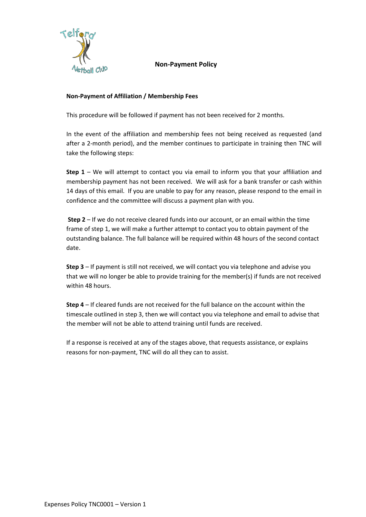

**Non-Payment Policy**

## **Non-Payment of Affiliation / Membership Fees**

This procedure will be followed if payment has not been received for 2 months.

In the event of the affiliation and membership fees not being received as requested (and after a 2-month period), and the member continues to participate in training then TNC will take the following steps:

**Step 1** – We will attempt to contact you via email to inform you that your affiliation and membership payment has not been received. We will ask for a bank transfer or cash within 14 days of this email. If you are unable to pay for any reason, please respond to the email in confidence and the committee will discuss a payment plan with you.

**Step 2** – If we do not receive cleared funds into our account, or an email within the time frame of step 1, we will make a further attempt to contact you to obtain payment of the outstanding balance. The full balance will be required within 48 hours of the second contact date.

**Step 3** – If payment is still not received, we will contact you via telephone and advise you that we will no longer be able to provide training for the member(s) if funds are not received within 48 hours.

**Step 4** – If cleared funds are not received for the full balance on the account within the timescale outlined in step 3, then we will contact you via telephone and email to advise that the member will not be able to attend training until funds are received.

If a response is received at any of the stages above, that requests assistance, or explains reasons for non-payment, TNC will do all they can to assist.